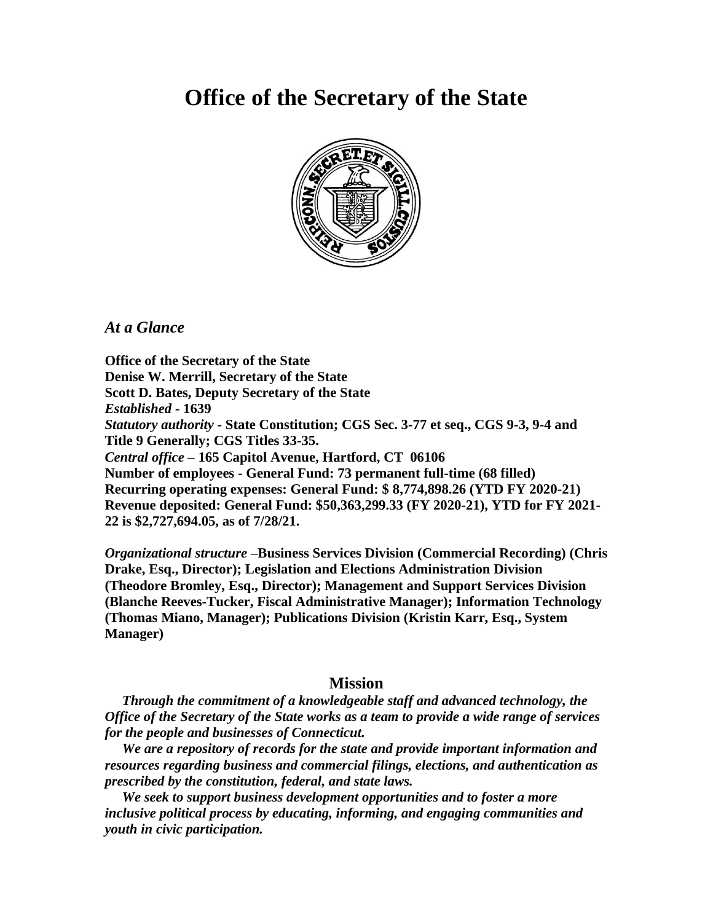# **Office of the Secretary of the State**



*At a Glance*

**Office of the Secretary of the State Denise W. Merrill, Secretary of the State Scott D. Bates, Deputy Secretary of the State** *Established -* **1639** *Statutory authority* **- State Constitution; CGS Sec. 3-77 et seq., CGS 9-3, 9-4 and Title 9 Generally; CGS Titles 33-35.** *Central office* **– 165 Capitol Avenue, Hartford, CT 06106 Number of employees - General Fund: 73 permanent full-time (68 filled) Recurring operating expenses: General Fund: \$ 8,774,898.26 (YTD FY 2020-21) Revenue deposited: General Fund: \$50,363,299.33 (FY 2020-21), YTD for FY 2021- 22 is \$2,727,694.05, as of 7/28/21.**

*Organizational structure* **–Business Services Division (Commercial Recording) (Chris Drake, Esq., Director); Legislation and Elections Administration Division (Theodore Bromley, Esq., Director); Management and Support Services Division (Blanche Reeves-Tucker, Fiscal Administrative Manager); Information Technology (Thomas Miano, Manager); Publications Division (Kristin Karr, Esq., System Manager)**

# **Mission**

*Through the commitment of a knowledgeable staff and advanced technology, the Office of the Secretary of the State works as a team to provide a wide range of services for the people and businesses of Connecticut.*

 *We are a repository of records for the state and provide important information and resources regarding business and commercial filings, elections, and authentication as prescribed by the constitution, federal, and state laws.*

 *We seek to support business development opportunities and to foster a more inclusive political process by educating, informing, and engaging communities and youth in civic participation.*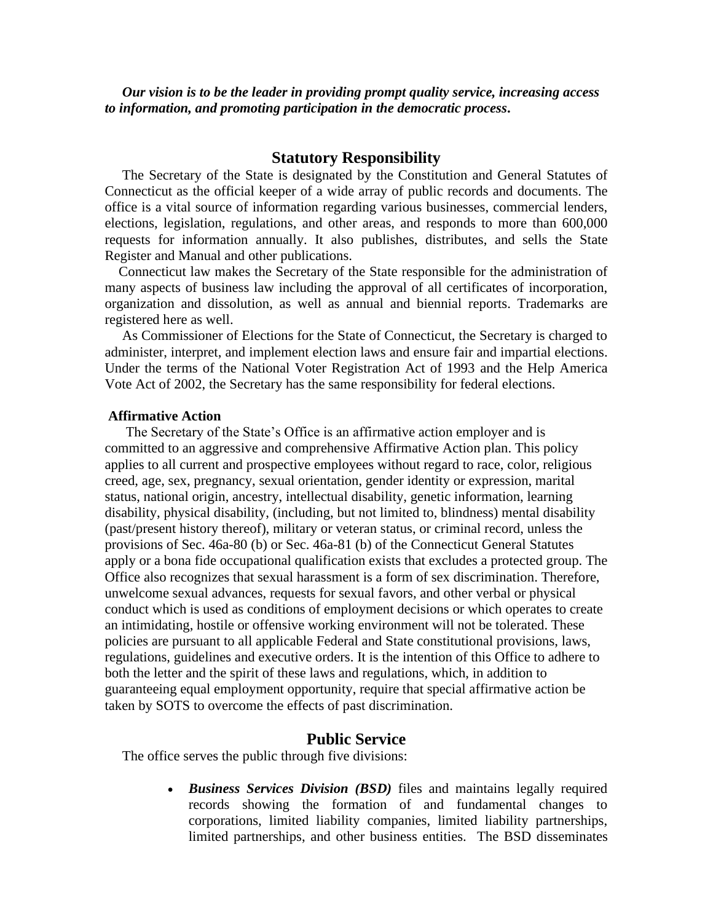*Our vision is to be the leader in providing prompt quality service, increasing access to information, and promoting participation in the democratic process***.**

## **Statutory Responsibility**

 The Secretary of the State is designated by the Constitution and General Statutes of Connecticut as the official keeper of a wide array of public records and documents. The office is a vital source of information regarding various businesses, commercial lenders, elections, legislation, regulations, and other areas, and responds to more than 600,000 requests for information annually. It also publishes, distributes, and sells the State Register and Manual and other publications.

 Connecticut law makes the Secretary of the State responsible for the administration of many aspects of business law including the approval of all certificates of incorporation, organization and dissolution, as well as annual and biennial reports. Trademarks are registered here as well.

As Commissioner of Elections for the State of Connecticut, the Secretary is charged to administer, interpret, and implement election laws and ensure fair and impartial elections. Under the terms of the National Voter Registration Act of 1993 and the Help America Vote Act of 2002, the Secretary has the same responsibility for federal elections.

#### **Affirmative Action**

The Secretary of the State's Office is an affirmative action employer and is committed to an aggressive and comprehensive Affirmative Action plan. This policy applies to all current and prospective employees without regard to race, color, religious creed, age, sex, pregnancy, sexual orientation, gender identity or expression, marital status, national origin, ancestry, intellectual disability, genetic information, learning disability, physical disability, (including, but not limited to, blindness) mental disability (past/present history thereof), military or veteran status, or criminal record, unless the provisions of Sec. 46a-80 (b) or Sec. 46a-81 (b) of the Connecticut General Statutes apply or a bona fide occupational qualification exists that excludes a protected group. The Office also recognizes that sexual harassment is a form of sex discrimination. Therefore, unwelcome sexual advances, requests for sexual favors, and other verbal or physical conduct which is used as conditions of employment decisions or which operates to create an intimidating, hostile or offensive working environment will not be tolerated. These policies are pursuant to all applicable Federal and State constitutional provisions, laws, regulations, guidelines and executive orders. It is the intention of this Office to adhere to both the letter and the spirit of these laws and regulations, which, in addition to guaranteeing equal employment opportunity, require that special affirmative action be taken by SOTS to overcome the effects of past discrimination.

### **Public Service**

The office serves the public through five divisions:

• *Business Services Division (BSD)* files and maintains legally required records showing the formation of and fundamental changes to corporations, limited liability companies, limited liability partnerships, limited partnerships, and other business entities. The BSD disseminates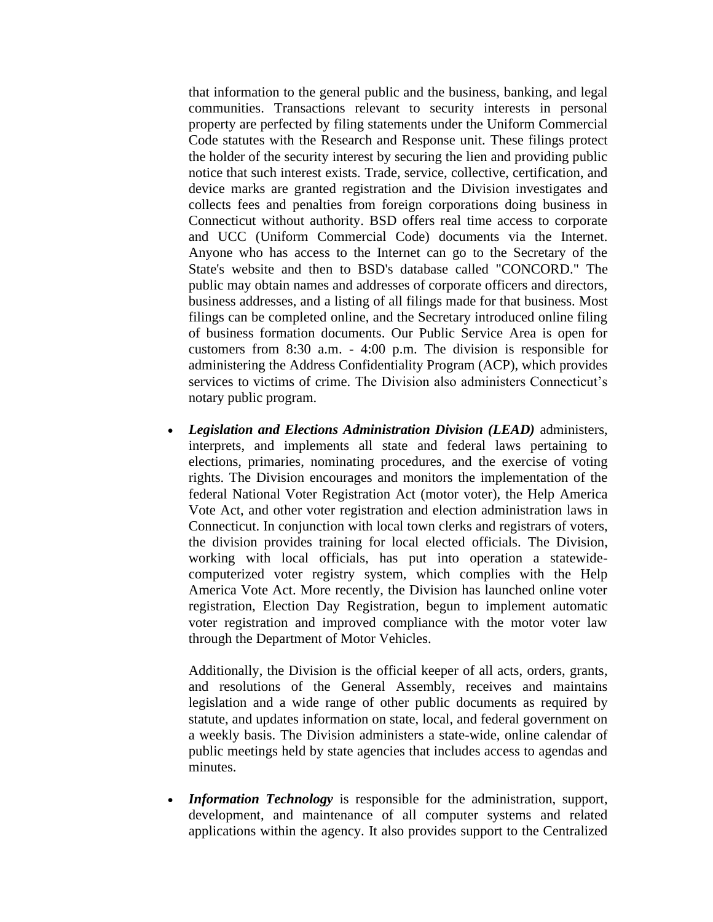that information to the general public and the business, banking, and legal communities. Transactions relevant to security interests in personal property are perfected by filing statements under the Uniform Commercial Code statutes with the Research and Response unit. These filings protect the holder of the security interest by securing the lien and providing public notice that such interest exists. Trade, service, collective, certification, and device marks are granted registration and the Division investigates and collects fees and penalties from foreign corporations doing business in Connecticut without authority. BSD offers real time access to corporate and UCC (Uniform Commercial Code) documents via the Internet. Anyone who has access to the Internet can go to the Secretary of the State's website and then to BSD's database called "CONCORD." The public may obtain names and addresses of corporate officers and directors, business addresses, and a listing of all filings made for that business. Most filings can be completed online, and the Secretary introduced online filing of business formation documents. Our Public Service Area is open for customers from 8:30 a.m. - 4:00 p.m. The division is responsible for administering the Address Confidentiality Program (ACP), which provides services to victims of crime. The Division also administers Connecticut's notary public program.

• *Legislation and Elections Administration Division (LEAD)* administers, interprets, and implements all state and federal laws pertaining to elections, primaries, nominating procedures, and the exercise of voting rights. The Division encourages and monitors the implementation of the federal National Voter Registration Act (motor voter), the Help America Vote Act, and other voter registration and election administration laws in Connecticut. In conjunction with local town clerks and registrars of voters, the division provides training for local elected officials. The Division, working with local officials, has put into operation a statewidecomputerized voter registry system, which complies with the Help America Vote Act. More recently, the Division has launched online voter registration, Election Day Registration, begun to implement automatic voter registration and improved compliance with the motor voter law through the Department of Motor Vehicles.

Additionally, the Division is the official keeper of all acts, orders, grants, and resolutions of the General Assembly, receives and maintains legislation and a wide range of other public documents as required by statute, and updates information on state, local, and federal government on a weekly basis. The Division administers a state-wide, online calendar of public meetings held by state agencies that includes access to agendas and minutes.

• *Information Technology* is responsible for the administration, support, development, and maintenance of all computer systems and related applications within the agency. It also provides support to the Centralized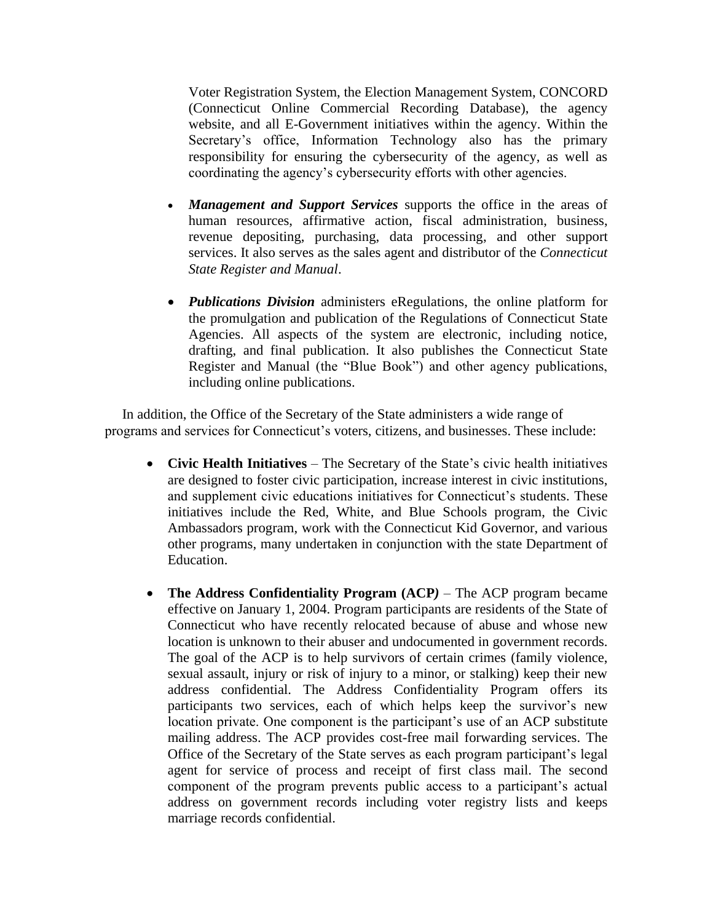Voter Registration System, the Election Management System, CONCORD (Connecticut Online Commercial Recording Database), the agency website, and all E-Government initiatives within the agency. Within the Secretary's office, Information Technology also has the primary responsibility for ensuring the cybersecurity of the agency, as well as coordinating the agency's cybersecurity efforts with other agencies.

- *Management and Support Services* supports the office in the areas of human resources, affirmative action, fiscal administration, business, revenue depositing, purchasing, data processing, and other support services. It also serves as the sales agent and distributor of the *Connecticut State Register and Manual*.
- *Publications Division* administers eRegulations, the online platform for the promulgation and publication of the Regulations of Connecticut State Agencies. All aspects of the system are electronic, including notice, drafting, and final publication. It also publishes the Connecticut State Register and Manual (the "Blue Book") and other agency publications, including online publications.

 In addition, the Office of the Secretary of the State administers a wide range of programs and services for Connecticut's voters, citizens, and businesses. These include:

- **Civic Health Initiatives** The Secretary of the State's civic health initiatives are designed to foster civic participation, increase interest in civic institutions, and supplement civic educations initiatives for Connecticut's students. These initiatives include the Red, White, and Blue Schools program, the Civic Ambassadors program, work with the Connecticut Kid Governor, and various other programs, many undertaken in conjunction with the state Department of Education.
- **The Address Confidentiality Program (ACP***)* The ACP program became effective on January 1, 2004. Program participants are residents of the State of Connecticut who have recently relocated because of abuse and whose new location is unknown to their abuser and undocumented in government records. The goal of the ACP is to help survivors of certain crimes (family violence, sexual assault, injury or risk of injury to a minor, or stalking) keep their new address confidential. The Address Confidentiality Program offers its participants two services, each of which helps keep the survivor's new location private. One component is the participant's use of an ACP substitute mailing address. The ACP provides cost-free mail forwarding services. The Office of the Secretary of the State serves as each program participant's legal agent for service of process and receipt of first class mail. The second component of the program prevents public access to a participant's actual address on government records including voter registry lists and keeps marriage records confidential.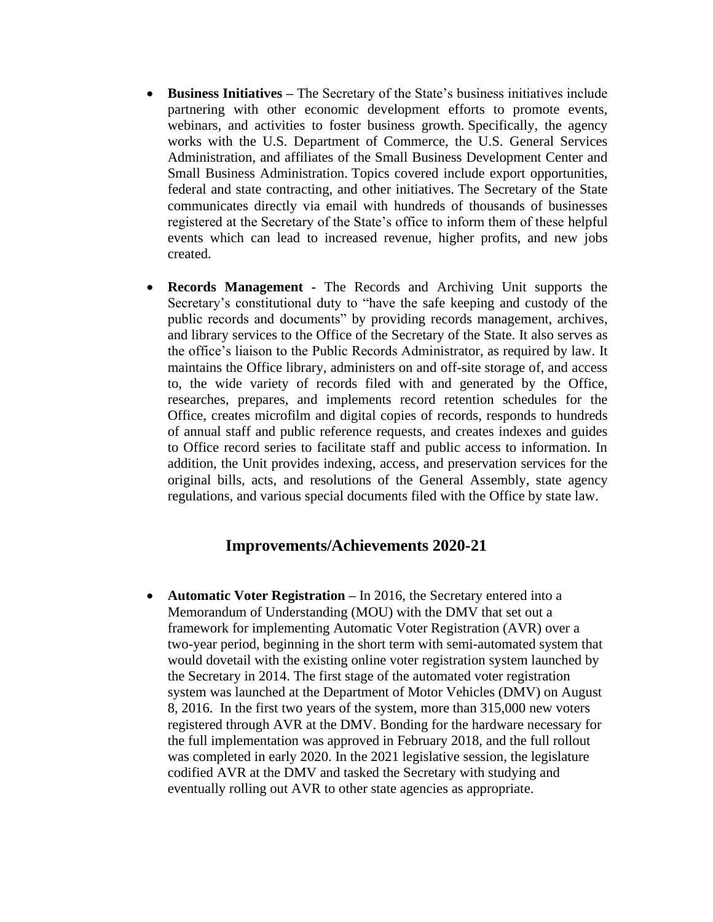- **Business Initiatives –** The Secretary of the State's business initiatives include partnering with other economic development efforts to promote events, webinars, and activities to foster business growth. Specifically, the agency works with the U.S. Department of Commerce, the U.S. General Services Administration, and affiliates of the Small Business Development Center and Small Business Administration. Topics covered include export opportunities, federal and state contracting, and other initiatives. The Secretary of the State communicates directly via email with hundreds of thousands of businesses registered at the Secretary of the State's office to inform them of these helpful events which can lead to increased revenue, higher profits, and new jobs created.
- **Records Management -** The Records and Archiving Unit supports the Secretary's constitutional duty to "have the safe keeping and custody of the public records and documents" by providing records management, archives, and library services to the Office of the Secretary of the State. It also serves as the office's liaison to the Public Records Administrator, as required by law. It maintains the Office library, administers on and off-site storage of, and access to, the wide variety of records filed with and generated by the Office, researches, prepares, and implements record retention schedules for the Office, creates microfilm and digital copies of records, responds to hundreds of annual staff and public reference requests, and creates indexes and guides to Office record series to facilitate staff and public access to information. In addition, the Unit provides indexing, access, and preservation services for the original bills, acts, and resolutions of the General Assembly, state agency regulations, and various special documents filed with the Office by state law.

# **Improvements/Achievements 2020-21**

• **Automatic Voter Registration** – In 2016, the Secretary entered into a Memorandum of Understanding (MOU) with the DMV that set out a framework for implementing Automatic Voter Registration (AVR) over a two-year period, beginning in the short term with semi-automated system that would dovetail with the existing online voter registration system launched by the Secretary in 2014. The first stage of the automated voter registration system was launched at the Department of Motor Vehicles (DMV) on August 8, 2016. In the first two years of the system, more than 315,000 new voters registered through AVR at the DMV. Bonding for the hardware necessary for the full implementation was approved in February 2018, and the full rollout was completed in early 2020. In the 2021 legislative session, the legislature codified AVR at the DMV and tasked the Secretary with studying and eventually rolling out AVR to other state agencies as appropriate.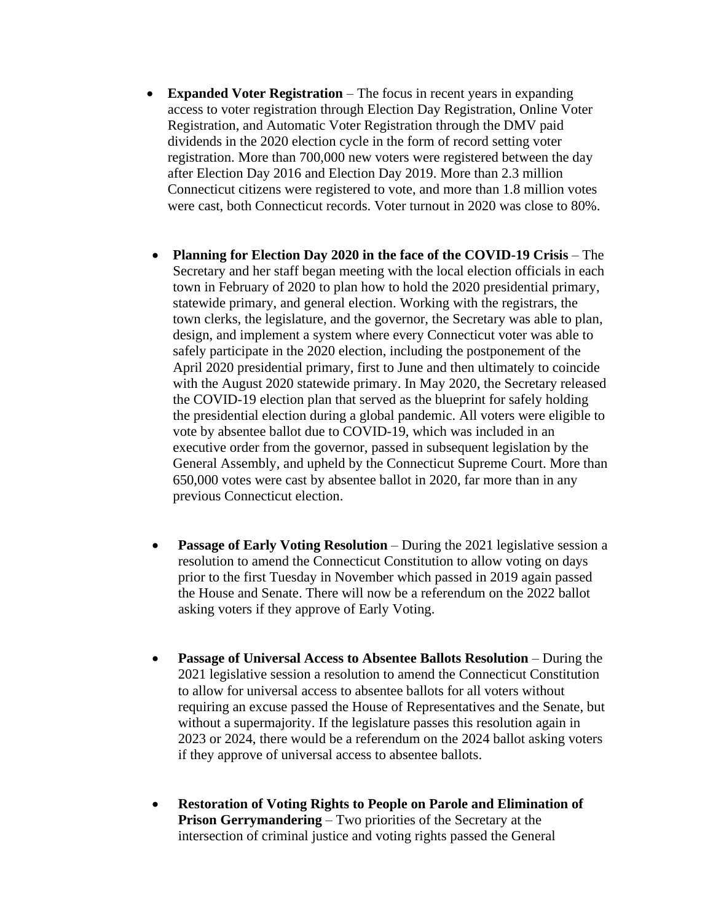- **Expanded Voter Registration** The focus in recent years in expanding access to voter registration through Election Day Registration, Online Voter Registration, and Automatic Voter Registration through the DMV paid dividends in the 2020 election cycle in the form of record setting voter registration. More than 700,000 new voters were registered between the day after Election Day 2016 and Election Day 2019. More than 2.3 million Connecticut citizens were registered to vote, and more than 1.8 million votes were cast, both Connecticut records. Voter turnout in 2020 was close to 80%.
- **Planning for Election Day 2020 in the face of the COVID-19 Crisis** The Secretary and her staff began meeting with the local election officials in each town in February of 2020 to plan how to hold the 2020 presidential primary, statewide primary, and general election. Working with the registrars, the town clerks, the legislature, and the governor, the Secretary was able to plan, design, and implement a system where every Connecticut voter was able to safely participate in the 2020 election, including the postponement of the April 2020 presidential primary, first to June and then ultimately to coincide with the August 2020 statewide primary. In May 2020, the Secretary released the COVID-19 election plan that served as the blueprint for safely holding the presidential election during a global pandemic. All voters were eligible to vote by absentee ballot due to COVID-19, which was included in an executive order from the governor, passed in subsequent legislation by the General Assembly, and upheld by the Connecticut Supreme Court. More than 650,000 votes were cast by absentee ballot in 2020, far more than in any previous Connecticut election.
- **Passage of Early Voting Resolution** During the 2021 legislative session a resolution to amend the Connecticut Constitution to allow voting on days prior to the first Tuesday in November which passed in 2019 again passed the House and Senate. There will now be a referendum on the 2022 ballot asking voters if they approve of Early Voting.
- **Passage of Universal Access to Absentee Ballots Resolution** During the 2021 legislative session a resolution to amend the Connecticut Constitution to allow for universal access to absentee ballots for all voters without requiring an excuse passed the House of Representatives and the Senate, but without a supermajority. If the legislature passes this resolution again in 2023 or 2024, there would be a referendum on the 2024 ballot asking voters if they approve of universal access to absentee ballots.
- **Restoration of Voting Rights to People on Parole and Elimination of Prison Gerrymandering** – Two priorities of the Secretary at the intersection of criminal justice and voting rights passed the General